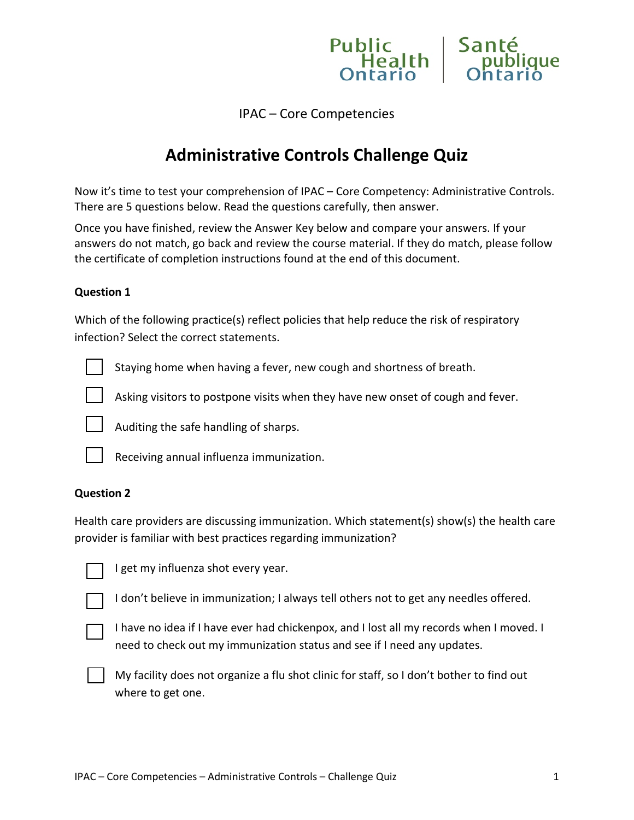IPAC – Core Competencies

Public

**Health** 

Sant

que

# **Administrative Controls Challenge Quiz**

Now it's time to test your comprehension of IPAC – Core Competency: Administrative Controls. There are 5 questions below. Read the questions carefully, then answer.

Once you have finished, review the Answer Key below and compare your answers. If your answers do not match, go back and review the course material. If they do match, please follow the certificate of completion instructions found at the end of this document.

#### **Question 1**

Which of the following practice(s) reflect policies that help reduce the risk of respiratory infection? Select the correct statements.



Staying home when having a fever, new cough and shortness of breath.



Asking visitors to postpone visits when they have new onset of cough and fever.



Auditing the safe handling of sharps.



Receiving annual influenza immunization.

#### **Question 2**

Health care providers are discussing immunization. Which statement(s) show(s) the health care provider is familiar with best practices regarding immunization?

I get my influenza shot every year.

I don't believe in immunization; I always tell others not to get any needles offered.



I have no idea if I have ever had chickenpox, and I lost all my records when I moved. I need to check out my immunization status and see if I need any updates.



My facility does not organize a flu shot clinic for staff, so I don't bother to find out where to get one.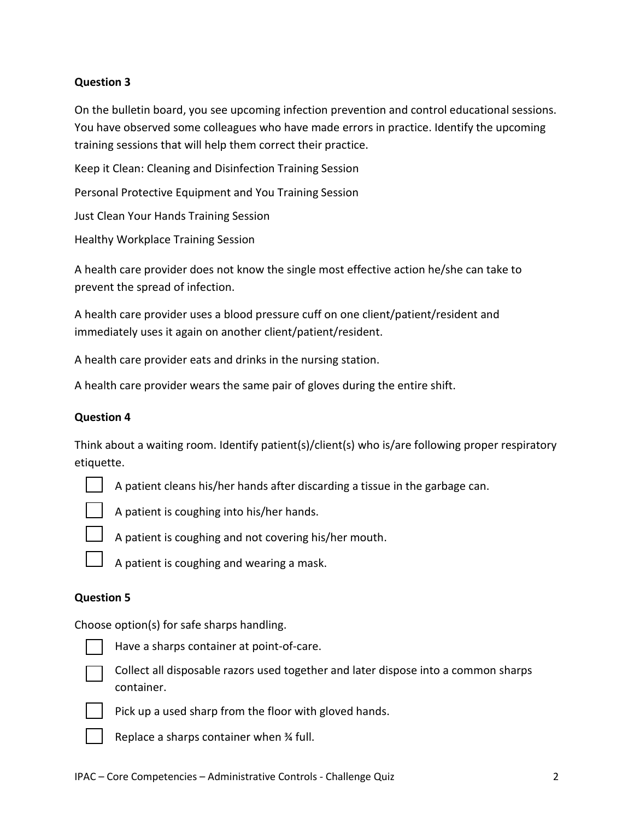## **Question 3**

On the bulletin board, you see upcoming infection prevention and control educational sessions. You have observed some colleagues who have made errors in practice. Identify the upcoming training sessions that will help them correct their practice.

Keep it Clean: Cleaning and Disinfection Training Session

Personal Protective Equipment and You Training Session

Just Clean Your Hands Training Session

Healthy Workplace Training Session

A health care provider does not know the single most effective action he/she can take to prevent the spread of infection.

A health care provider uses a blood pressure cuff on one client/patient/resident and immediately uses it again on another client/patient/resident.

A health care provider eats and drinks in the nursing station.

A health care provider wears the same pair of gloves during the entire shift.

## **Question 4**

Think about a waiting room. Identify patient(s)/client(s) who is/are following proper respiratory etiquette.



A patient cleans his/her hands after discarding a tissue in the garbage can.



A patient is coughing into his/her hands.



A patient is coughing and not covering his/her mouth.



A patient is coughing and wearing a mask.

#### **Question 5**

Choose option(s) for safe sharps handling.



Have a sharps container at point-of-care.



Collect all disposable razors used together and later dispose into a common sharps container.



Pick up a used sharp from the floor with gloved hands.



Replace a sharps container when ¾ full.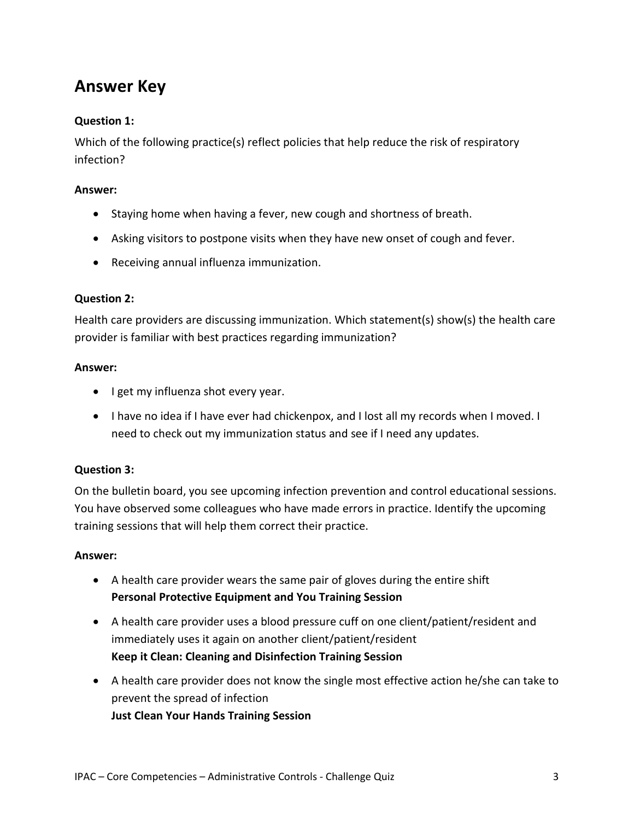# **Answer Key**

## **Question 1:**

Which of the following practice(s) reflect policies that help reduce the risk of respiratory infection?

## **Answer:**

- Staying home when having a fever, new cough and shortness of breath.
- Asking visitors to postpone visits when they have new onset of cough and fever.
- Receiving annual influenza immunization.

## **Question 2:**

Health care providers are discussing immunization. Which statement(s) show(s) the health care provider is familiar with best practices regarding immunization?

#### **Answer:**

- I get my influenza shot every year.
- I have no idea if I have ever had chickenpox, and I lost all my records when I moved. I need to check out my immunization status and see if I need any updates.

## **Question 3:**

On the bulletin board, you see upcoming infection prevention and control educational sessions. You have observed some colleagues who have made errors in practice. Identify the upcoming training sessions that will help them correct their practice.

#### **Answer:**

- A health care provider wears the same pair of gloves during the entire shift **Personal Protective Equipment and You Training Session**
- A health care provider uses a blood pressure cuff on one client/patient/resident and immediately uses it again on another client/patient/resident **Keep it Clean: Cleaning and Disinfection Training Session**
- A health care provider does not know the single most effective action he/she can take to prevent the spread of infection **Just Clean Your Hands Training Session**